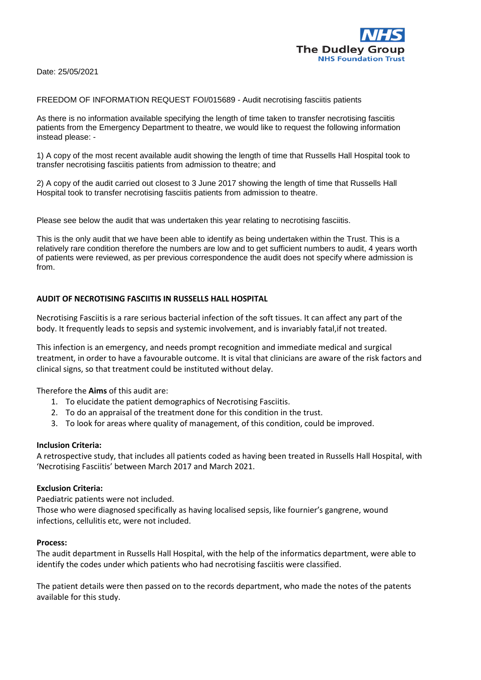

Date: 25/05/2021

FREEDOM OF INFORMATION REQUEST FOI/015689 - Audit necrotising fasciitis patients

As there is no information available specifying the length of time taken to transfer necrotising fasciitis patients from the Emergency Department to theatre, we would like to request the following information instead please: -

1) A copy of the most recent available audit showing the length of time that Russells Hall Hospital took to transfer necrotising fasciitis patients from admission to theatre; and

2) A copy of the audit carried out closest to 3 June 2017 showing the length of time that Russells Hall Hospital took to transfer necrotising fasciitis patients from admission to theatre.

Please see below the audit that was undertaken this year relating to necrotising fasciitis.

This is the only audit that we have been able to identify as being undertaken within the Trust. This is a relatively rare condition therefore the numbers are low and to get sufficient numbers to audit, 4 years worth of patients were reviewed, as per previous correspondence the audit does not specify where admission is from.

# **AUDIT OF NECROTISING FASCIITIS IN RUSSELLS HALL HOSPITAL**

Necrotising Fasciitis is a rare serious bacterial infection of the soft tissues. It can affect any part of the body. It frequently leads to sepsis and systemic involvement, and is invariably fatal,if not treated.

This infection is an emergency, and needs prompt recognition and immediate medical and surgical treatment, in order to have a favourable outcome. It is vital that clinicians are aware of the risk factors and clinical signs, so that treatment could be instituted without delay.

Therefore the **Aims** of this audit are:

- 1. To elucidate the patient demographics of Necrotising Fasciitis.
- 2. To do an appraisal of the treatment done for this condition in the trust.
- 3. To look for areas where quality of management, of this condition, could be improved.

# **Inclusion Criteria:**

A retrospective study, that includes all patients coded as having been treated in Russells Hall Hospital, with 'Necrotising Fasciitis' between March 2017 and March 2021.

# **Exclusion Criteria:**

Paediatric patients were not included.

Those who were diagnosed specifically as having localised sepsis, like fournier's gangrene, wound infections, cellulitis etc, were not included.

#### **Process:**

The audit department in Russells Hall Hospital, with the help of the informatics department, were able to identify the codes under which patients who had necrotising fasciitis were classified.

The patient details were then passed on to the records department, who made the notes of the patents available for this study.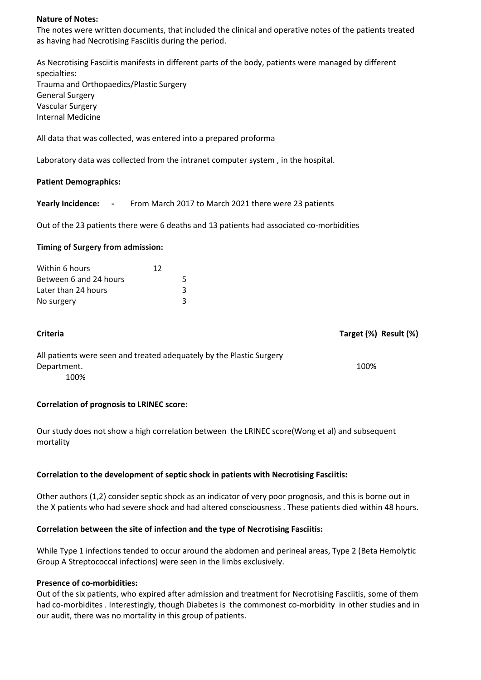### **Nature of Notes:**

The notes were written documents, that included the clinical and operative notes of the patients treated as having had Necrotising Fasciitis during the period.

As Necrotising Fasciitis manifests in different parts of the body, patients were managed by different specialties: Trauma and Orthopaedics/Plastic Surgery General Surgery Vascular Surgery Internal Medicine

All data that was collected, was entered into a prepared proforma

Laboratory data was collected from the intranet computer system , in the hospital.

#### **Patient Demographics:**

**Yearly Incidence: -** From March 2017 to March 2021 there were 23 patients

Out of the 23 patients there were 6 deaths and 13 patients had associated co-morbidities

#### **Timing of Surgery from admission:**

| Within 6 hours         | 12 |   |
|------------------------|----|---|
| Between 6 and 24 hours |    | 5 |
| Later than 24 hours    |    | 3 |
| No surgery             |    | ₹ |

| <b>Criteria</b>                                                      | Target (%) Result (%) |
|----------------------------------------------------------------------|-----------------------|
| All patients were seen and treated adequately by the Plastic Surgery |                       |
| Department.                                                          | 100%                  |
| 100%                                                                 |                       |

# **Correlation of prognosis to LRINEC score:**

Our study does not show a high correlation between the LRINEC score(Wong et al) and subsequent mortality

#### **Correlation to the development of septic shock in patients with Necrotising Fasciitis:**

Other authors (1,2) consider septic shock as an indicator of very poor prognosis, and this is borne out in the X patients who had severe shock and had altered consciousness . These patients died within 48 hours.

#### **Correlation between the site of infection and the type of Necrotising Fasciitis:**

While Type 1 infections tended to occur around the abdomen and perineal areas, Type 2 (Beta Hemolytic Group A Streptococcal infections) were seen in the limbs exclusively.

### **Presence of co-morbidities:**

Out of the six patients, who expired after admission and treatment for Necrotising Fasciitis, some of them had co-morbidites . Interestingly, though Diabetes is the commonest co-morbidity in other studies and in our audit, there was no mortality in this group of patients.